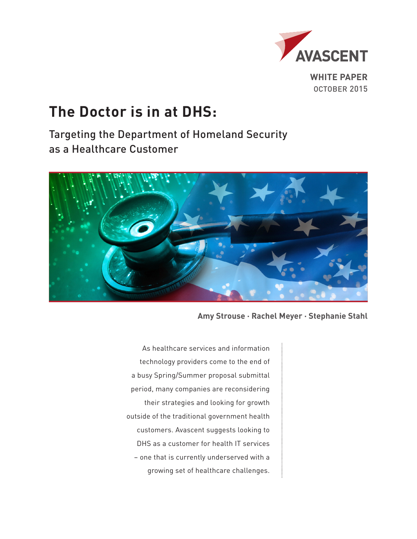

**WHITE PAPER** OCTOBER 2015

# **The Doctor is in at DHS:**

Targeting the Department of Homeland Security as a Healthcare Customer



**Amy Strouse · Rachel Meyer · Stephanie Stahl**

As healthcare services and information technology providers come to the end of a busy Spring/Summer proposal submittal period, many companies are reconsidering their strategies and looking for growth outside of the traditional government health customers. Avascent suggests looking to DHS as a customer for health IT services – one that is currently underserved with a growing set of healthcare challenges.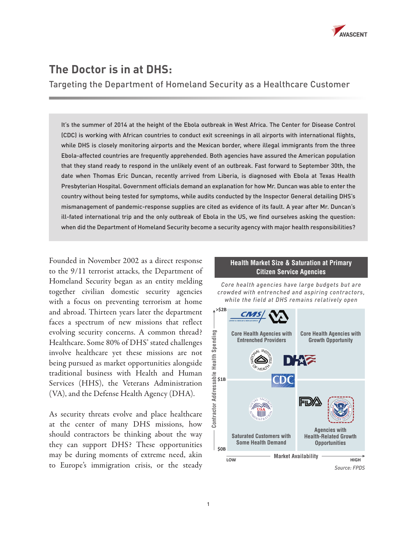

## **The Doctor is in at DHS:**

Targeting the Department of Homeland Security as a Healthcare Customer

It's the summer of 2014 at the height of the Ebola outbreak in West Africa. The Center for Disease Control (CDC) is working with African countries to conduct exit screenings in all airports with international flights, while DHS is closely monitoring airports and the Mexican border, where illegal immigrants from the three Ebola-affected countries are frequently apprehended. Both agencies have assured the American population that they stand ready to respond in the unlikely event of an outbreak. Fast forward to September 30th, the date when Thomas Eric Duncan, recently arrived from Liberia, is diagnosed with Ebola at Texas Health Presbyterian Hospital. Government officials demand an explanation for how Mr. Duncan was able to enter the country without being tested for symptoms, while audits conducted by the Inspector General detailing DHS's mismanagement of pandemic-response supplies are cited as evidence of its fault. A year after Mr. Duncan's ill-fated international trip and the only outbreak of Ebola in the US, we find ourselves asking the question: when did the Department of Homeland Security become a security agency with major health responsibilities?

Founded in November 2002 as a direct response to the 9/11 terrorist attacks, the Department of Homeland Security began as an entity melding together civilian domestic security agencies with a focus on preventing terrorism at home and abroad. Thirteen years later the department faces a spectrum of new missions that reflect evolving security concerns. A common thread? Healthcare. Some 80% of DHS' stated challenges involve healthcare yet these missions are not being pursued as market opportunities alongside traditional business with Health and Human Services (HHS), the Veterans Administration (VA), and the Defense Health Agency (DHA).

As security threats evolve and place healthcare at the center of many DHS missions, how should contractors be thinking about the way they can support DHS? These opportunities may be during moments of extreme need, akin to Europe's immigration crisis, or the steady

#### **Health Market Size & Saturation at Primary Citizen Service Agencies**

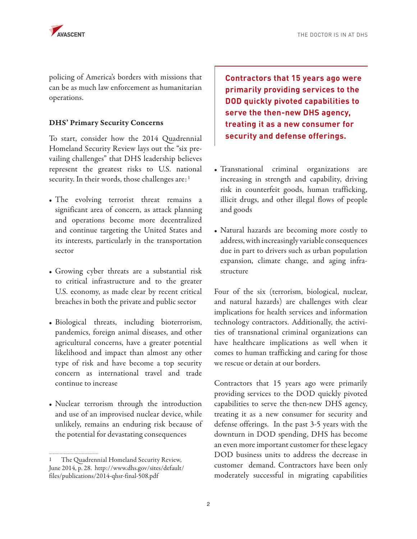policing of America's borders with missions that can be as much law enforcement as humanitarian operations.

#### DHS' Primary Security Concerns

To start, consider how the 2014 Quadrennial Homeland Security Review lays out the "six prevailing challenges" that DHS leadership believes represent the greatest risks to U.S. national security. In their words, those challenges are:<sup>1</sup>

- The evolving terrorist threat remains a significant area of concern, as attack planning and operations become more decentralized and continue targeting the United States and its interests, particularly in the transportation sector
- Growing cyber threats are a substantial risk to critical infrastructure and to the greater U.S. economy, as made clear by recent critical breaches in both the private and public sector
- Biological threats, including bioterrorism, pandemics, foreign animal diseases, and other agricultural concerns, have a greater potential likelihood and impact than almost any other type of risk and have become a top security concern as international travel and trade continue to increase
- Nuclear terrorism through the introduction and use of an improvised nuclear device, while unlikely, remains an enduring risk because of the potential for devastating consequences

**Contractors that 15 years ago were primarily providing services to the DOD quickly pivoted capabilities to serve the then-new DHS agency, treating it as a new consumer for security and defense offerings.** 

- Transnational criminal organizations are increasing in strength and capability, driving risk in counterfeit goods, human trafficking, illicit drugs, and other illegal flows of people and goods
- Natural hazards are becoming more costly to address, with increasingly variable consequences due in part to drivers such as urban population expansion, climate change, and aging infrastructure

Four of the six (terrorism, biological, nuclear, and natural hazards) are challenges with clear implications for health services and information technology contractors. Additionally, the activities of transnational criminal organizations can have healthcare implications as well when it comes to human trafficking and caring for those we rescue or detain at our borders.

Contractors that 15 years ago were primarily providing services to the DOD quickly pivoted capabilities to serve the then-new DHS agency, treating it as a new consumer for security and defense offerings. In the past 3-5 years with the downturn in DOD spending, DHS has become an even more important customer for these legacy DOD business units to address the decrease in customer demand. Contractors have been only moderately successful in migrating capabilities

The Quadrennial Homeland Security Review, June 2014, p. 28. http://www.dhs.gov/sites/default/ files/publications/2014-qhsr-final-508.pdf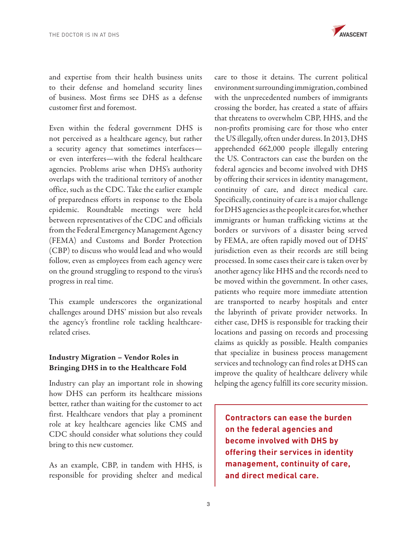

and expertise from their health business units to their defense and homeland security lines of business. Most firms see DHS as a defense customer first and foremost.

Even within the federal government DHS is not perceived as a healthcare agency, but rather a security agency that sometimes interfaces or even interferes—with the federal healthcare agencies. Problems arise when DHS's authority overlaps with the traditional territory of another office, such as the CDC. Take the earlier example of preparedness efforts in response to the Ebola epidemic. Roundtable meetings were held between representatives of the CDC and officials from the Federal Emergency Management Agency (FEMA) and Customs and Border Protection (CBP) to discuss who would lead and who would follow, even as employees from each agency were on the ground struggling to respond to the virus's progress in real time.

This example underscores the organizational challenges around DHS' mission but also reveals the agency's frontline role tackling healthcarerelated crises.

### Industry Migration – Vendor Roles in Bringing DHS in to the Healthcare Fold

Industry can play an important role in showing how DHS can perform its healthcare missions better, rather than waiting for the customer to act first. Healthcare vendors that play a prominent role at key healthcare agencies like CMS and CDC should consider what solutions they could bring to this new customer.

As an example, CBP, in tandem with HHS, is responsible for providing shelter and medical care to those it detains. The current political environment surrounding immigration, combined with the unprecedented numbers of immigrants crossing the border, has created a state of affairs that threatens to overwhelm CBP, HHS, and the non-profits promising care for those who enter the US illegally, often under duress. In 2013, DHS apprehended 662,000 people illegally entering the US. Contractors can ease the burden on the federal agencies and become involved with DHS by offering their services in identity management, continuity of care, and direct medical care. Specifically, continuity of care is a major challenge for DHS agencies as the people it cares for, whether immigrants or human trafficking victims at the borders or survivors of a disaster being served by FEMA, are often rapidly moved out of DHS' jurisdiction even as their records are still being processed. In some cases their care is taken over by another agency like HHS and the records need to be moved within the government. In other cases, patients who require more immediate attention are transported to nearby hospitals and enter the labyrinth of private provider networks. In either case, DHS is responsible for tracking their locations and passing on records and processing claims as quickly as possible. Health companies that specialize in business process management services and technology can find roles at DHS can improve the quality of healthcare delivery while helping the agency fulfill its core security mission.

**Contractors can ease the burden on the federal agencies and become involved with DHS by offering their services in identity management, continuity of care, and direct medical care.**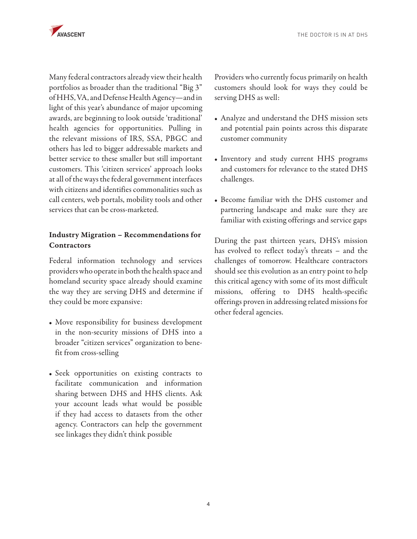

Many federal contractors already view their health portfolios as broader than the traditional "Big 3" of HHS, VA, and Defense Health Agency—and in light of this year's abundance of major upcoming awards, are beginning to look outside 'traditional' health agencies for opportunities. Pulling in the relevant missions of IRS, SSA, PBGC and others has led to bigger addressable markets and better service to these smaller but still important customers. This 'citizen services' approach looks at all of the ways the federal government interfaces with citizens and identifies commonalities such as call centers, web portals, mobility tools and other services that can be cross-marketed.

## Industry Migration – Recommendations for **Contractors**

Federal information technology and services providers who operate in both the health space and homeland security space already should examine the way they are serving DHS and determine if they could be more expansive:

- Move responsibility for business development in the non-security missions of DHS into a broader "citizen services" organization to benefit from cross-selling
- Seek opportunities on existing contracts to facilitate communication and information sharing between DHS and HHS clients. Ask your account leads what would be possible if they had access to datasets from the other agency. Contractors can help the government see linkages they didn't think possible

Providers who currently focus primarily on health customers should look for ways they could be serving DHS as well:

- Analyze and understand the DHS mission sets and potential pain points across this disparate customer community
- Inventory and study current HHS programs and customers for relevance to the stated DHS challenges.
- Become familiar with the DHS customer and partnering landscape and make sure they are familiar with existing offerings and service gaps

During the past thirteen years, DHS's mission has evolved to reflect today's threats – and the challenges of tomorrow. Healthcare contractors should see this evolution as an entry point to help this critical agency with some of its most difficult missions, offering to DHS health-specific offerings proven in addressing related missions for other federal agencies.